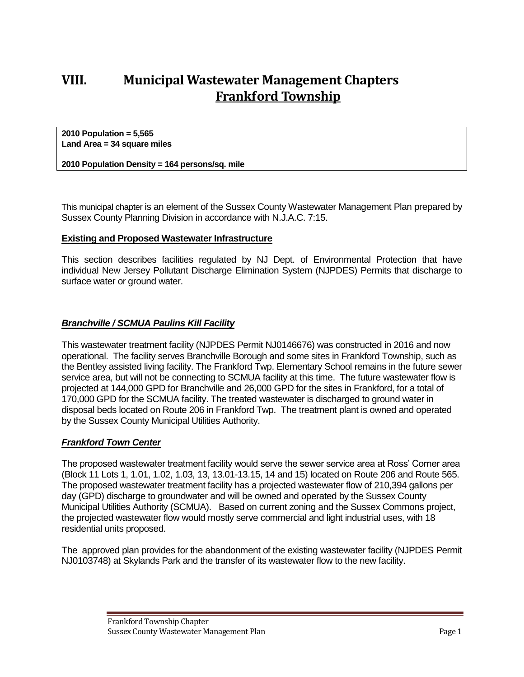# **VIII. Municipal Wastewater Management Chapters Frankford Township**

**2010 Population = 5,565 Land Area = 34 square miles**

**2010 Population Density = 164 persons/sq. mile**

This municipal chapter is an element of the Sussex County Wastewater Management Plan prepared by Sussex County Planning Division in accordance with N.J.A.C. 7:15.

#### **Existing and Proposed Wastewater Infrastructure**

This section describes facilities regulated by NJ Dept. of Environmental Protection that have individual New Jersey Pollutant Discharge Elimination System (NJPDES) Permits that discharge to surface water or ground water.

#### *Branchville / SCMUA Paulins Kill Facility*

This wastewater treatment facility (NJPDES Permit NJ0146676) was constructed in 2016 and now operational. The facility serves Branchville Borough and some sites in Frankford Township, such as the Bentley assisted living facility. The Frankford Twp. Elementary School remains in the future sewer service area, but will not be connecting to SCMUA facility at this time. The future wastewater flow is projected at 144,000 GPD for Branchville and 26,000 GPD for the sites in Frankford, for a total of 170,000 GPD for the SCMUA facility. The treated wastewater is discharged to ground water in disposal beds located on Route 206 in Frankford Twp. The treatment plant is owned and operated by the Sussex County Municipal Utilities Authority.

#### *Frankford Town Center*

The proposed wastewater treatment facility would serve the sewer service area at Ross' Corner area (Block 11 Lots 1, 1.01, 1.02, 1.03, 13, 13.01-13.15, 14 and 15) located on Route 206 and Route 565. The proposed wastewater treatment facility has a projected wastewater flow of 210,394 gallons per day (GPD) discharge to groundwater and will be owned and operated by the Sussex County Municipal Utilities Authority (SCMUA). Based on current zoning and the Sussex Commons project, the projected wastewater flow would mostly serve commercial and light industrial uses, with 18 residential units proposed.

The approved plan provides for the abandonment of the existing wastewater facility (NJPDES Permit NJ0103748) at Skylands Park and the transfer of its wastewater flow to the new facility.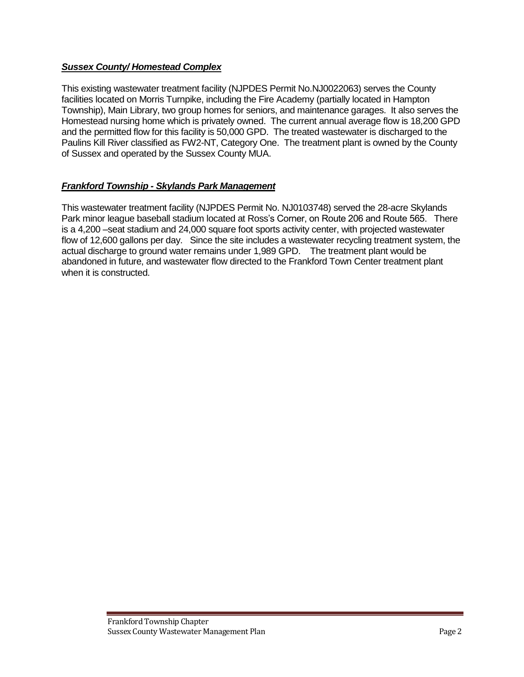### *Sussex County/ Homestead Complex*

This existing wastewater treatment facility (NJPDES Permit No.NJ0022063) serves the County facilities located on Morris Turnpike, including the Fire Academy (partially located in Hampton Township), Main Library, two group homes for seniors, and maintenance garages. It also serves the Homestead nursing home which is privately owned. The current annual average flow is 18,200 GPD and the permitted flow for this facility is 50,000 GPD. The treated wastewater is discharged to the Paulins Kill River classified as FW2-NT, Category One. The treatment plant is owned by the County of Sussex and operated by the Sussex County MUA.

# *Frankford Township - Skylands Park Management*

This wastewater treatment facility (NJPDES Permit No. NJ0103748) served the 28-acre Skylands Park minor league baseball stadium located at Ross's Corner, on Route 206 and Route 565. There is a 4,200 –seat stadium and 24,000 square foot sports activity center, with projected wastewater flow of 12,600 gallons per day. Since the site includes a wastewater recycling treatment system, the actual discharge to ground water remains under 1,989 GPD. The treatment plant would be abandoned in future, and wastewater flow directed to the Frankford Town Center treatment plant when it is constructed.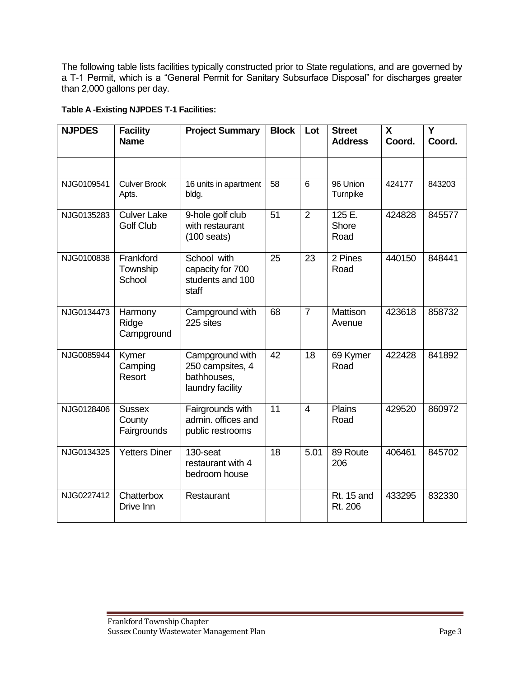The following table lists facilities typically constructed prior to State regulations, and are governed by a T-1 Permit, which is a "General Permit for Sanitary Subsurface Disposal" for discharges greater than 2,000 gallons per day.

# **Table A -Existing NJPDES T-1 Facilities:**

| <b>NJPDES</b> | <b>Facility</b><br><b>Name</b>         | <b>Project Summary</b>                                                 | <b>Block</b> | Lot            | <b>Street</b><br><b>Address</b> | X<br>Coord. | $\overline{\mathsf{Y}}$<br>Coord. |
|---------------|----------------------------------------|------------------------------------------------------------------------|--------------|----------------|---------------------------------|-------------|-----------------------------------|
|               |                                        |                                                                        |              |                |                                 |             |                                   |
| NJG0109541    | <b>Culver Brook</b><br>Apts.           | 16 units in apartment<br>bldg.                                         | 58           | 6              | 96 Union<br>Turnpike            | 424177      | 843203                            |
| NJG0135283    | <b>Culver Lake</b><br><b>Golf Club</b> | 9-hole golf club<br>with restaurant<br>$(100 \text{ seats})$           | 51           | $\overline{2}$ | 125 E.<br>Shore<br>Road         | 424828      | 845577                            |
| NJG0100838    | Frankford<br>Township<br>School        | School with<br>capacity for 700<br>students and 100<br>staff           | 25           | 23             | 2 Pines<br>Road                 | 440150      | 848441                            |
| NJG0134473    | Harmony<br>Ridge<br>Campground         | Campground with<br>225 sites                                           | 68           | $\overline{7}$ | Mattison<br>Avenue              | 423618      | 858732                            |
| NJG0085944    | Kymer<br>Camping<br>Resort             | Campground with<br>250 campsites, 4<br>bathhouses,<br>laundry facility | 42           | 18             | 69 Kymer<br>Road                | 422428      | 841892                            |
| NJG0128406    | <b>Sussex</b><br>County<br>Fairgrounds | Fairgrounds with<br>admin. offices and<br>public restrooms             | 11           | $\overline{4}$ | Plains<br>Road                  | 429520      | 860972                            |
| NJG0134325    | <b>Yetters Diner</b>                   | 130-seat<br>restaurant with 4<br>bedroom house                         | 18           | 5.01           | 89 Route<br>206                 | 406461      | 845702                            |
| NJG0227412    | Chatterbox<br>Drive Inn                | Restaurant                                                             |              |                | <b>Rt. 15 and</b><br>Rt. 206    | 433295      | 832330                            |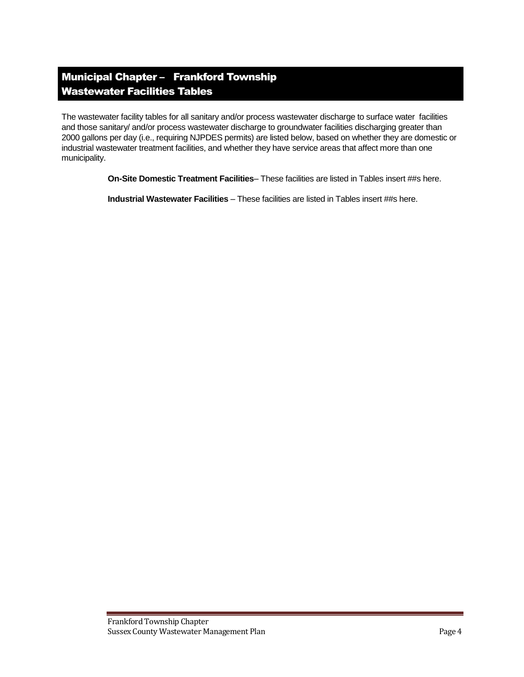# Municipal Chapter – Frankford Township Wastewater Facilities Tables

The wastewater facility tables for all sanitary and/or process wastewater discharge to surface water facilities and those sanitary/ and/or process wastewater discharge to groundwater facilities discharging greater than 2000 gallons per day (i.e., requiring NJPDES permits) are listed below, based on whether they are domestic or industrial wastewater treatment facilities, and whether they have service areas that affect more than one municipality.

**On-Site Domestic Treatment Facilities**– These facilities are listed in Tables insert ##s here.

**Industrial Wastewater Facilities** – These facilities are listed in Tables insert ##s here.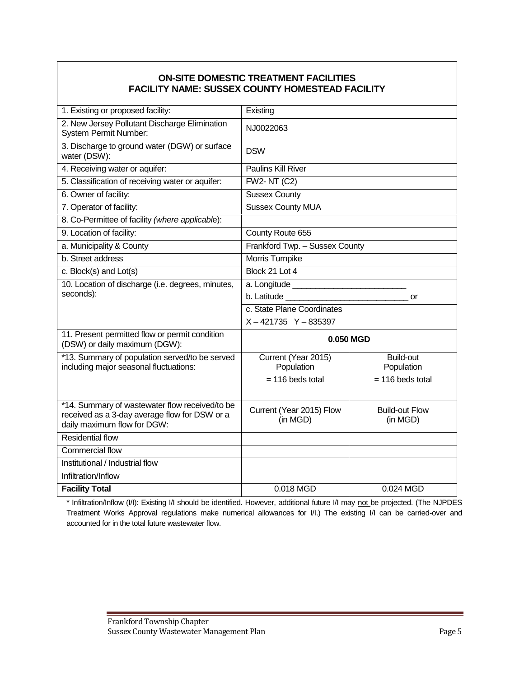### **ON-SITE DOMESTIC TREATMENT FACILITIES FACILITY NAME: SUSSEX COUNTY HOMESTEAD FACILITY**

| 1. Existing or proposed facility:                                                                                              | Existing                             |                                   |  |  |
|--------------------------------------------------------------------------------------------------------------------------------|--------------------------------------|-----------------------------------|--|--|
| 2. New Jersey Pollutant Discharge Elimination<br><b>System Permit Number:</b>                                                  | NJ0022063                            |                                   |  |  |
| 3. Discharge to ground water (DGW) or surface<br>water (DSW):                                                                  | <b>DSW</b>                           |                                   |  |  |
| 4. Receiving water or aquifer:                                                                                                 | Paulins Kill River                   |                                   |  |  |
| 5. Classification of receiving water or aquifer:                                                                               | <b>FW2-NT (C2)</b>                   |                                   |  |  |
| 6. Owner of facility:                                                                                                          | <b>Sussex County</b>                 |                                   |  |  |
| 7. Operator of facility:                                                                                                       | <b>Sussex County MUA</b>             |                                   |  |  |
| 8. Co-Permittee of facility (where applicable):                                                                                |                                      |                                   |  |  |
| 9. Location of facility:                                                                                                       | County Route 655                     |                                   |  |  |
| a. Municipality & County                                                                                                       | Frankford Twp. - Sussex County       |                                   |  |  |
| b. Street address                                                                                                              | Morris Turnpike                      |                                   |  |  |
| c. Block(s) and Lot(s)                                                                                                         | Block 21 Lot 4                       |                                   |  |  |
| 10. Location of discharge (i.e. degrees, minutes,                                                                              |                                      |                                   |  |  |
| seconds):                                                                                                                      | b. Latitude<br>or                    |                                   |  |  |
|                                                                                                                                | c. State Plane Coordinates           |                                   |  |  |
|                                                                                                                                | $X - 421735$ Y - 835397              |                                   |  |  |
| 11. Present permitted flow or permit condition<br>(DSW) or daily maximum (DGW):                                                | 0.050 MGD                            |                                   |  |  |
| *13. Summary of population served/to be served<br>including major seasonal fluctuations:                                       | Current (Year 2015)<br>Population    | <b>Build-out</b><br>Population    |  |  |
|                                                                                                                                | $= 116$ beds total                   | $= 116$ beds total                |  |  |
|                                                                                                                                |                                      |                                   |  |  |
| *14. Summary of wastewater flow received/to be<br>received as a 3-day average flow for DSW or a<br>daily maximum flow for DGW: | Current (Year 2015) Flow<br>(in MGD) | <b>Build-out Flow</b><br>(in MGD) |  |  |
| <b>Residential flow</b>                                                                                                        |                                      |                                   |  |  |
| <b>Commercial flow</b>                                                                                                         |                                      |                                   |  |  |
| Institutional / Industrial flow                                                                                                |                                      |                                   |  |  |
| Infiltration/Inflow                                                                                                            |                                      |                                   |  |  |
| <b>Facility Total</b>                                                                                                          | $0.018$ MGD<br>0.024 MGD             |                                   |  |  |

\* Infiltration/Inflow (I/I): Existing I/I should be identified. However, additional future I/I may not be projected. (The NJPDES Treatment Works Approval regulations make numerical allowances for I/I.) The existing I/I can be carried-over and accounted for in the total future wastewater flow.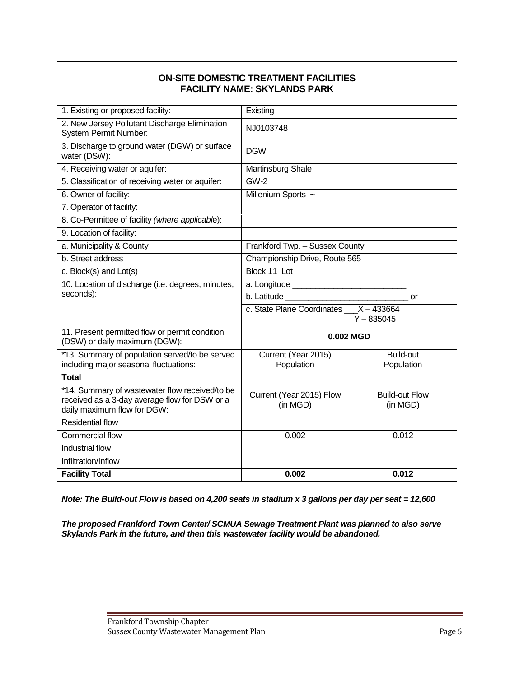#### **ON-SITE DOMESTIC TREATMENT FACILITIES FACILITY NAME: SKYLANDS PARK**

| 1. Existing or proposed facility:                                                                                              | Existing                                                                  |                                |  |  |
|--------------------------------------------------------------------------------------------------------------------------------|---------------------------------------------------------------------------|--------------------------------|--|--|
| 2. New Jersey Pollutant Discharge Elimination<br><b>System Permit Number:</b>                                                  | NJ0103748                                                                 |                                |  |  |
| 3. Discharge to ground water (DGW) or surface<br>water (DSW):                                                                  | <b>DGW</b>                                                                |                                |  |  |
| 4. Receiving water or aquifer:                                                                                                 | Martinsburg Shale                                                         |                                |  |  |
| 5. Classification of receiving water or aquifer:                                                                               | $GW-2$                                                                    |                                |  |  |
| 6. Owner of facility:                                                                                                          | Millenium Sports ~                                                        |                                |  |  |
| 7. Operator of facility:                                                                                                       |                                                                           |                                |  |  |
| 8. Co-Permittee of facility (where applicable):                                                                                |                                                                           |                                |  |  |
| 9. Location of facility:                                                                                                       |                                                                           |                                |  |  |
| a. Municipality & County                                                                                                       | Frankford Twp. - Sussex County                                            |                                |  |  |
| b. Street address                                                                                                              | Championship Drive, Route 565                                             |                                |  |  |
| c. Block(s) and Lot(s)                                                                                                         | Block 11 Lot                                                              |                                |  |  |
| 10. Location of discharge (i.e. degrees, minutes,                                                                              |                                                                           |                                |  |  |
| seconds):                                                                                                                      |                                                                           | or                             |  |  |
|                                                                                                                                | c. State Plane Coordinates X - 433664<br>$Y - 835045$                     |                                |  |  |
| 11. Present permitted flow or permit condition<br>(DSW) or daily maximum (DGW):                                                | 0.002 MGD                                                                 |                                |  |  |
| *13. Summary of population served/to be served<br>including major seasonal fluctuations:                                       | Current (Year 2015)<br>Population                                         | <b>Build-out</b><br>Population |  |  |
| <b>Total</b>                                                                                                                   |                                                                           |                                |  |  |
| *14. Summary of wastewater flow received/to be<br>received as a 3-day average flow for DSW or a<br>daily maximum flow for DGW: | Current (Year 2015) Flow<br><b>Build-out Flow</b><br>(in MGD)<br>(in MGD) |                                |  |  |
| <b>Residential flow</b>                                                                                                        |                                                                           |                                |  |  |
| Commercial flow                                                                                                                | 0.002                                                                     | 0.012                          |  |  |
| Industrial flow                                                                                                                |                                                                           |                                |  |  |
| Infiltration/Inflow                                                                                                            |                                                                           |                                |  |  |
| <b>Facility Total</b>                                                                                                          | 0.002                                                                     | 0.012                          |  |  |
|                                                                                                                                |                                                                           |                                |  |  |

*Note: The Build-out Flow is based on 4,200 seats in stadium x 3 gallons per day per seat = 12,600* 

*The proposed Frankford Town Center/ SCMUA Sewage Treatment Plant was planned to also serve Skylands Park in the future, and then this wastewater facility would be abandoned.*